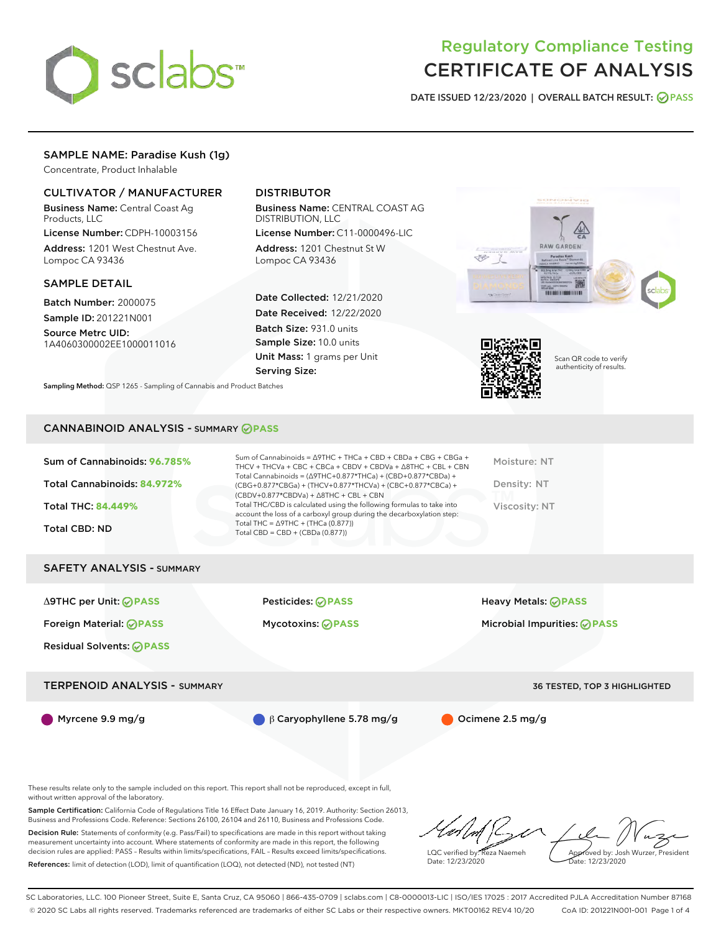

DATE ISSUED 12/23/2020 | OVERALL BATCH RESULT: @ PASS

## SAMPLE NAME: Paradise Kush (1g)

Concentrate, Product Inhalable

### CULTIVATOR / MANUFACTURER

Business Name: Central Coast Ag Products, LLC

License Number: CDPH-10003156 Address: 1201 West Chestnut Ave. Lompoc CA 93436

#### SAMPLE DETAIL

Batch Number: 2000075 Sample ID: 201221N001

Source Metrc UID: 1A4060300002EE1000011016

# DISTRIBUTOR

Business Name: CENTRAL COAST AG DISTRIBUTION, LLC

License Number: C11-0000496-LIC Address: 1201 Chestnut St W Lompoc CA 93436

Date Collected: 12/21/2020 Date Received: 12/22/2020 Batch Size: 931.0 units Sample Size: 10.0 units Unit Mass: 1 grams per Unit Serving Size:





Scan QR code to verify authenticity of results.

Sampling Method: QSP 1265 - Sampling of Cannabis and Product Batches

### CANNABINOID ANALYSIS - SUMMARY **PASS**

| Sum of Cannabinoids: 96.785%<br>Total Cannabinoids: 84.972%<br><b>Total THC: 84.449%</b><br><b>Total CBD: ND</b> | Sum of Cannabinoids = $\triangle$ 9THC + THCa + CBD + CBDa + CBG + CBGa +<br>THCV + THCVa + CBC + CBCa + CBDV + CBDVa + $\triangle$ 8THC + CBL + CBN<br>Total Cannabinoids = $(\Delta$ 9THC+0.877*THCa) + (CBD+0.877*CBDa) +<br>(CBG+0.877*CBGa) + (THCV+0.877*THCVa) + (CBC+0.877*CBCa) +<br>$(CBDV+0.877*CBDVa) + \Delta 8THC + CBL + CBN$<br>Total THC/CBD is calculated using the following formulas to take into<br>account the loss of a carboxyl group during the decarboxylation step:<br>Total THC = $\triangle$ 9THC + (THCa (0.877)) | Moisture: NT<br>Density: NT<br>Viscosity: NT |
|------------------------------------------------------------------------------------------------------------------|-------------------------------------------------------------------------------------------------------------------------------------------------------------------------------------------------------------------------------------------------------------------------------------------------------------------------------------------------------------------------------------------------------------------------------------------------------------------------------------------------------------------------------------------------|----------------------------------------------|
| <b>SAFETY ANALYSIS - SUMMARY</b>                                                                                 | Total CBD = $CBD + (CBDa (0.877))$                                                                                                                                                                                                                                                                                                                                                                                                                                                                                                              |                                              |
| ∆9THC per Unit: ⊘PASS                                                                                            | <b>Pesticides: ⊘PASS</b>                                                                                                                                                                                                                                                                                                                                                                                                                                                                                                                        | <b>Heavy Metals: ⊘ PASS</b>                  |
| Foreign Material: ⊘PASS<br><b>Residual Solvents: ⊘PASS</b>                                                       | <b>Mycotoxins: ⊘PASS</b>                                                                                                                                                                                                                                                                                                                                                                                                                                                                                                                        | Microbial Impurities: <b>⊘ PASS</b>          |
| <b>TERPENOID ANALYSIS - SUMMARY</b>                                                                              |                                                                                                                                                                                                                                                                                                                                                                                                                                                                                                                                                 | <b>36 TESTED, TOP 3 HIGHLIGHTED</b>          |
| Myrcene $9.9 \,\mathrm{mg/g}$                                                                                    | $\beta$ Caryophyllene 5.78 mg/g                                                                                                                                                                                                                                                                                                                                                                                                                                                                                                                 | Ocimene 2.5 mg/g                             |

These results relate only to the sample included on this report. This report shall not be reproduced, except in full, without written approval of the laboratory.

Sample Certification: California Code of Regulations Title 16 Effect Date January 16, 2019. Authority: Section 26013, Business and Professions Code. Reference: Sections 26100, 26104 and 26110, Business and Professions Code.

Decision Rule: Statements of conformity (e.g. Pass/Fail) to specifications are made in this report without taking measurement uncertainty into account. Where statements of conformity are made in this report, the following decision rules are applied: PASS – Results within limits/specifications, FAIL – Results exceed limits/specifications. References: limit of detection (LOD), limit of quantification (LOQ), not detected (ND), not tested (NT)

LQC verified by: Reza Naemeh Date: 12/23/2020 Approved by: Josh Wurzer, President Date: 12/23/2020

SC Laboratories, LLC. 100 Pioneer Street, Suite E, Santa Cruz, CA 95060 | 866-435-0709 | sclabs.com | C8-0000013-LIC | ISO/IES 17025 : 2017 Accredited PJLA Accreditation Number 87168 © 2020 SC Labs all rights reserved. Trademarks referenced are trademarks of either SC Labs or their respective owners. MKT00162 REV4 10/20 CoA ID: 201221N001-001 Page 1 of 4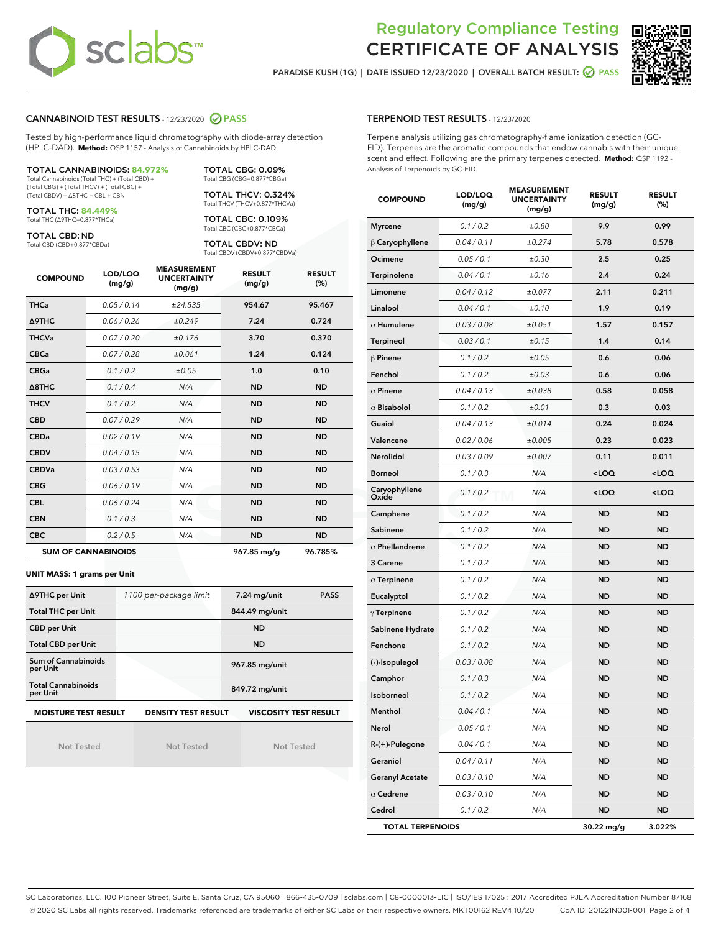

PARADISE KUSH (1G) | DATE ISSUED 12/23/2020 | OVERALL BATCH RESULT: @ PASS



#### CANNABINOID TEST RESULTS - 12/23/2020 PASS

Tested by high-performance liquid chromatography with diode-array detection (HPLC-DAD). **Method:** QSP 1157 - Analysis of Cannabinoids by HPLC-DAD

| <b>TOTAL CANNABINOIDS: 84.972%</b>             |
|------------------------------------------------|
| Total Cannabinoids (Total THC) + (Total CBD) + |

Total Cannabinoids (Total THC) + (Total CBD) + (Total CBG) + (Total THCV) + (Total CBC) + (Total CBDV) + ∆8THC + CBL + CBN

TOTAL THC: **84.449%** Total THC (∆9THC+0.877\*THCa)

TOTAL CBD: ND

Total CBD (CBD+0.877\*CBDa)

TOTAL THCV: 0.324% Total THCV (THCV+0.877\*THCVa)

TOTAL CBG: 0.09% Total CBG (CBG+0.877\*CBGa)

TOTAL CBC: 0.109% Total CBC (CBC+0.877\*CBCa)

TOTAL CBDV: ND Total CBDV (CBDV+0.877\*CBDVa)

| <b>COMPOUND</b>  | LOD/LOQ<br>(mg/g)          | <b>MEASUREMENT</b><br><b>UNCERTAINTY</b><br>(mg/g) | <b>RESULT</b><br>(mg/g) | <b>RESULT</b><br>(%) |
|------------------|----------------------------|----------------------------------------------------|-------------------------|----------------------|
| <b>THCa</b>      | 0.05 / 0.14                | ±24.535                                            | 954.67                  | 95.467               |
| <b>A9THC</b>     | 0.06 / 0.26                | ±0.249                                             | 7.24                    | 0.724                |
| <b>THCVa</b>     | 0.07 / 0.20                | ±0.176                                             | 3.70                    | 0.370                |
| <b>CBCa</b>      | 0.07/0.28                  | ±0.061                                             | 1.24                    | 0.124                |
| <b>CBGa</b>      | 0.1/0.2                    | ±0.05                                              | 1.0                     | 0.10                 |
| $\triangle$ 8THC | 0.1/0.4                    | N/A                                                | <b>ND</b>               | <b>ND</b>            |
| <b>THCV</b>      | 0.1 / 0.2                  | N/A                                                | <b>ND</b>               | <b>ND</b>            |
| <b>CBD</b>       | 0.07/0.29                  | N/A                                                | <b>ND</b>               | <b>ND</b>            |
| <b>CBDa</b>      | 0.02 / 0.19                | N/A                                                | <b>ND</b>               | <b>ND</b>            |
| <b>CBDV</b>      | 0.04 / 0.15                | N/A                                                | <b>ND</b>               | <b>ND</b>            |
| <b>CBDVa</b>     | 0.03 / 0.53                | N/A                                                | <b>ND</b>               | <b>ND</b>            |
| <b>CBG</b>       | 0.06/0.19                  | N/A                                                | <b>ND</b>               | <b>ND</b>            |
| <b>CBL</b>       | 0.06 / 0.24                | N/A                                                | <b>ND</b>               | <b>ND</b>            |
| <b>CBN</b>       | 0.1 / 0.3                  | N/A                                                | <b>ND</b>               | <b>ND</b>            |
| <b>CBC</b>       | 0.2 / 0.5                  | N/A                                                | <b>ND</b>               | <b>ND</b>            |
|                  | <b>SUM OF CANNABINOIDS</b> |                                                    | 967.85 mg/g             | 96.785%              |

#### **UNIT MASS: 1 grams per Unit**

| ∆9THC per Unit                                                                            | 1100 per-package limit | 7.24 mg/unit<br><b>PASS</b> |  |  |  |  |
|-------------------------------------------------------------------------------------------|------------------------|-----------------------------|--|--|--|--|
| <b>Total THC per Unit</b>                                                                 |                        | 844.49 mg/unit              |  |  |  |  |
| <b>CBD per Unit</b>                                                                       |                        | <b>ND</b>                   |  |  |  |  |
| <b>Total CBD per Unit</b>                                                                 |                        | <b>ND</b>                   |  |  |  |  |
| Sum of Cannabinoids<br>per Unit                                                           |                        | 967.85 mg/unit              |  |  |  |  |
| <b>Total Cannabinoids</b><br>per Unit                                                     |                        | 849.72 mg/unit              |  |  |  |  |
| <b>MOISTURE TEST RESULT</b><br><b>VISCOSITY TEST RESULT</b><br><b>DENSITY TEST RESULT</b> |                        |                             |  |  |  |  |

Not Tested

Not Tested

Not Tested

#### TERPENOID TEST RESULTS - 12/23/2020

Terpene analysis utilizing gas chromatography-flame ionization detection (GC-FID). Terpenes are the aromatic compounds that endow cannabis with their unique scent and effect. Following are the primary terpenes detected. **Method:** QSP 1192 - Analysis of Terpenoids by GC-FID

| <b>COMPOUND</b>         | LOD/LOQ<br>(mg/g) | <b>MEASUREMENT</b><br><b>UNCERTAINTY</b><br>(mg/g) | <b>RESULT</b><br>(mg/g)                         | <b>RESULT</b><br>$(\%)$ |
|-------------------------|-------------------|----------------------------------------------------|-------------------------------------------------|-------------------------|
| <b>Myrcene</b>          | 0.1 / 0.2         | ±0.80                                              | 9.9                                             | 0.99                    |
| $\beta$ Caryophyllene   | 0.04 / 0.11       | ±0.274                                             | 5.78                                            | 0.578                   |
| Ocimene                 | 0.05 / 0.1        | ±0.30                                              | 2.5                                             | 0.25                    |
| Terpinolene             | 0.04 / 0.1        | ±0.16                                              | 2.4                                             | 0.24                    |
| Limonene                | 0.04 / 0.12       | ±0.077                                             | 2.11                                            | 0.211                   |
| Linalool                | 0.04 / 0.1        | ±0.10                                              | 1.9                                             | 0.19                    |
| $\alpha$ Humulene       | 0.03 / 0.08       | ±0.051                                             | 1.57                                            | 0.157                   |
| Terpineol               | 0.03 / 0.1        | ±0.15                                              | 1.4                                             | 0.14                    |
| $\beta$ Pinene          | 0.1 / 0.2         | ±0.05                                              | 0.6                                             | 0.06                    |
| Fenchol                 | 0.1 / 0.2         | ±0.03                                              | 0.6                                             | 0.06                    |
| $\alpha$ Pinene         | 0.04 / 0.13       | ±0.038                                             | 0.58                                            | 0.058                   |
| $\alpha$ Bisabolol      | 0.1 / 0.2         | ±0.01                                              | 0.3                                             | 0.03                    |
| Guaiol                  | 0.04 / 0.13       | ±0.014                                             | 0.24                                            | 0.024                   |
| Valencene               | 0.02 / 0.06       | ±0.005                                             | 0.23                                            | 0.023                   |
| Nerolidol               | 0.03 / 0.09       | ±0.007                                             | 0.11                                            | 0.011                   |
| <b>Borneol</b>          | 0.1 / 0.3         | N/A                                                | <loq< th=""><th><loq< th=""></loq<></th></loq<> | <loq< th=""></loq<>     |
| Caryophyllene<br>Oxide  | 0.1 / 0.2         | N/A                                                | <loq< th=""><th><loq< th=""></loq<></th></loq<> | <loq< th=""></loq<>     |
| Camphene                | 0.1 / 0.2         | N/A                                                | ND                                              | <b>ND</b>               |
| Sabinene                | 0.1 / 0.2         | N/A                                                | <b>ND</b>                                       | <b>ND</b>               |
| $\alpha$ Phellandrene   | 0.1 / 0.2         | N/A                                                | <b>ND</b>                                       | <b>ND</b>               |
| 3 Carene                | 0.1 / 0.2         | N/A                                                | ND                                              | <b>ND</b>               |
| $\alpha$ Terpinene      | 0.1 / 0.2         | N/A                                                | ND                                              | <b>ND</b>               |
| Eucalyptol              | 0.1 / 0.2         | N/A                                                | <b>ND</b>                                       | <b>ND</b>               |
| $\gamma$ Terpinene      | 0.1 / 0.2         | N/A                                                | ND                                              | <b>ND</b>               |
| Sabinene Hydrate        | 0.1 / 0.2         | N/A                                                | ND                                              | <b>ND</b>               |
| Fenchone                | 0.1 / 0.2         | N/A                                                | <b>ND</b>                                       | <b>ND</b>               |
| (-)-Isopulegol          | 0.03 / 0.08       | N/A                                                | ND                                              | <b>ND</b>               |
| Camphor                 | 0.1 / 0.3         | N/A                                                | ND                                              | <b>ND</b>               |
| Isoborneol              | 0.1 / 0.2         | N/A                                                | <b>ND</b>                                       | <b>ND</b>               |
| Menthol                 | 0.04 / 0.1        | N/A                                                | <b>ND</b>                                       | <b>ND</b>               |
| Nerol                   | 0.05 / 0.1        | N/A                                                | ND                                              | ND                      |
| R-(+)-Pulegone          | 0.04 / 0.1        | N/A                                                | <b>ND</b>                                       | ND                      |
| Geraniol                | 0.04 / 0.11       | N/A                                                | ND                                              | ND                      |
| <b>Geranyl Acetate</b>  | 0.03 / 0.10       | N/A                                                | ND                                              | ND                      |
| $\alpha$ Cedrene        | 0.03 / 0.10       | N/A                                                | <b>ND</b>                                       | ND                      |
| Cedrol                  | 0.1 / 0.2         | N/A                                                | <b>ND</b>                                       | ND                      |
| <b>TOTAL TERPENOIDS</b> |                   |                                                    | 30.22 mg/g                                      | 3.022%                  |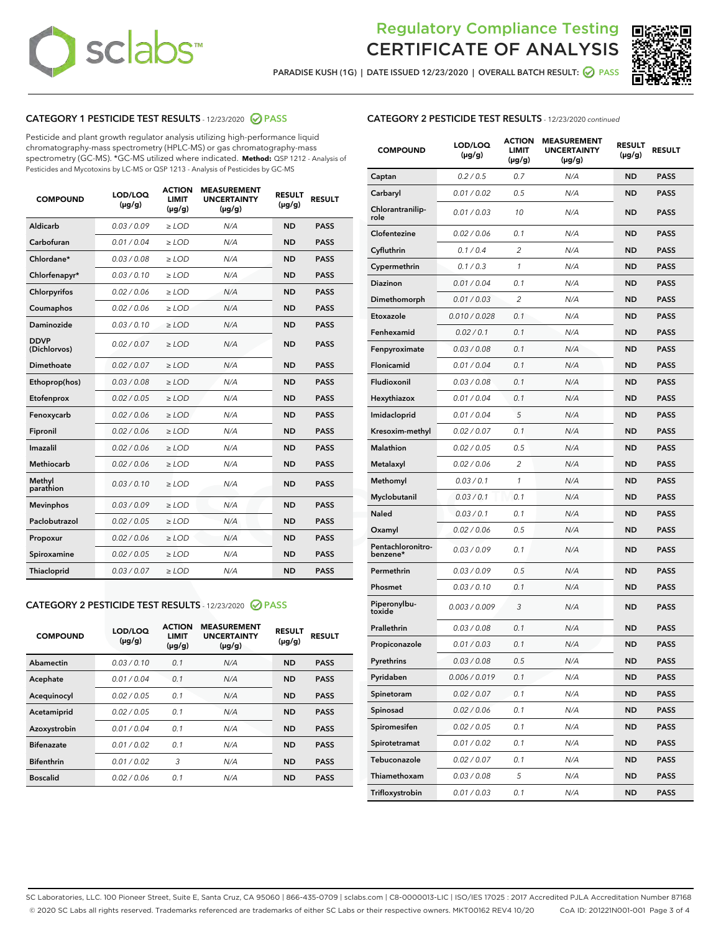

PARADISE KUSH (1G) | DATE ISSUED 12/23/2020 | OVERALL BATCH RESULT: @ PASS



### CATEGORY 1 PESTICIDE TEST RESULTS - 12/23/2020 PASS

Pesticide and plant growth regulator analysis utilizing high-performance liquid chromatography-mass spectrometry (HPLC-MS) or gas chromatography-mass spectrometry (GC-MS). \*GC-MS utilized where indicated. **Method:** QSP 1212 - Analysis of Pesticides and Mycotoxins by LC-MS or QSP 1213 - Analysis of Pesticides by GC-MS

| <b>COMPOUND</b>             | LOD/LOQ<br>$(\mu g/g)$ | <b>ACTION</b><br>LIMIT<br>$(\mu g/g)$ | <b>MEASUREMENT</b><br><b>UNCERTAINTY</b><br>$(\mu g/g)$ | <b>RESULT</b><br>$(\mu g/g)$ | <b>RESULT</b> |
|-----------------------------|------------------------|---------------------------------------|---------------------------------------------------------|------------------------------|---------------|
| Aldicarb                    | 0.03/0.09              | $>$ LOD                               | N/A                                                     | <b>ND</b>                    | <b>PASS</b>   |
| Carbofuran                  | 0.01 / 0.04            | ≥ LOD                                 | N/A                                                     | <b>ND</b>                    | <b>PASS</b>   |
| Chlordane*                  | 0.03 / 0.08            | ≥ LOD                                 | N/A                                                     | <b>ND</b>                    | <b>PASS</b>   |
| Chlorfenapyr*               | 0.03/0.10              | $>$ LOD                               | N/A                                                     | <b>ND</b>                    | <b>PASS</b>   |
| Chlorpyrifos                | 0.02 / 0.06            | $\geq$ LOD                            | N/A                                                     | <b>ND</b>                    | <b>PASS</b>   |
| Coumaphos                   | 0.02 / 0.06            | $\geq$ LOD                            | N/A                                                     | <b>ND</b>                    | <b>PASS</b>   |
| Daminozide                  | 0.03/0.10              | $>$ LOD                               | N/A                                                     | <b>ND</b>                    | <b>PASS</b>   |
| <b>DDVP</b><br>(Dichlorvos) | 0.02 / 0.07            | $\geq$ LOD                            | N/A                                                     | <b>ND</b>                    | <b>PASS</b>   |
| <b>Dimethoate</b>           | 0.02 / 0.07            | $\geq$ LOD                            | N/A                                                     | <b>ND</b>                    | <b>PASS</b>   |
| Ethoprop(hos)               | 0.03 / 0.08            | $>$ LOD                               | N/A                                                     | <b>ND</b>                    | <b>PASS</b>   |
| Etofenprox                  | 0.02 / 0.05            | $\geq$ LOD                            | N/A                                                     | <b>ND</b>                    | <b>PASS</b>   |
| Fenoxycarb                  | 0.02 / 0.06            | $\geq$ LOD                            | N/A                                                     | <b>ND</b>                    | <b>PASS</b>   |
| Fipronil                    | 0.02 / 0.06            | $\geq$ LOD                            | N/A                                                     | <b>ND</b>                    | <b>PASS</b>   |
| Imazalil                    | 0.02 / 0.06            | $\geq$ LOD                            | N/A                                                     | <b>ND</b>                    | <b>PASS</b>   |
| Methiocarb                  | 0.02 / 0.06            | $>$ LOD                               | N/A                                                     | <b>ND</b>                    | <b>PASS</b>   |
| Methyl<br>parathion         | 0.03/0.10              | > LOD                                 | N/A                                                     | <b>ND</b>                    | <b>PASS</b>   |
| <b>Mevinphos</b>            | 0.03/0.09              | $\geq$ LOD                            | N/A                                                     | <b>ND</b>                    | <b>PASS</b>   |
| Paclobutrazol               | 0.02 / 0.05            | $>$ LOD                               | N/A                                                     | <b>ND</b>                    | <b>PASS</b>   |
| Propoxur                    | 0.02 / 0.06            | $\geq$ LOD                            | N/A                                                     | <b>ND</b>                    | <b>PASS</b>   |
| Spiroxamine                 | 0.02 / 0.05            | $\geq$ LOD                            | N/A                                                     | <b>ND</b>                    | <b>PASS</b>   |
| <b>Thiacloprid</b>          | 0.03 / 0.07            | $\geq$ LOD                            | N/A                                                     | <b>ND</b>                    | <b>PASS</b>   |

#### CATEGORY 2 PESTICIDE TEST RESULTS - 12/23/2020 PASS

| <b>COMPOUND</b>   | LOD/LOQ<br>$(\mu g/g)$ | <b>ACTION</b><br>LIMIT<br>$(\mu g/g)$ | <b>MEASUREMENT</b><br><b>UNCERTAINTY</b><br>$(\mu g/g)$ | <b>RESULT</b><br>$(\mu g/g)$ | <b>RESULT</b> |
|-------------------|------------------------|---------------------------------------|---------------------------------------------------------|------------------------------|---------------|
| Abamectin         | 0.03/0.10              | 0.1                                   | N/A                                                     | <b>ND</b>                    | <b>PASS</b>   |
| Acephate          | 0.01/0.04              | 0.1                                   | N/A                                                     | <b>ND</b>                    | <b>PASS</b>   |
| Acequinocyl       | 0.02/0.05              | 0.1                                   | N/A                                                     | <b>ND</b>                    | <b>PASS</b>   |
| Acetamiprid       | 0.02/0.05              | 0.1                                   | N/A                                                     | <b>ND</b>                    | <b>PASS</b>   |
| Azoxystrobin      | 0.01/0.04              | 0.1                                   | N/A                                                     | <b>ND</b>                    | <b>PASS</b>   |
| <b>Bifenazate</b> | 0.01/0.02              | 0.1                                   | N/A                                                     | <b>ND</b>                    | <b>PASS</b>   |
| <b>Bifenthrin</b> | 0.01/0.02              | 3                                     | N/A                                                     | <b>ND</b>                    | <b>PASS</b>   |
| <b>Boscalid</b>   | 0.02/0.06              | 0.1                                   | N/A                                                     | <b>ND</b>                    | <b>PASS</b>   |

### CATEGORY 2 PESTICIDE TEST RESULTS - 12/23/2020 continued

| <b>COMPOUND</b>               | LOD/LOQ<br>$(\mu g/g)$ | <b>ACTION</b><br>LIMIT<br>$(\mu g/g)$ | <b>MEASUREMENT</b><br><b>UNCERTAINTY</b><br>(µg/g) | <b>RESULT</b><br>(µg/g) | <b>RESULT</b> |
|-------------------------------|------------------------|---------------------------------------|----------------------------------------------------|-------------------------|---------------|
| Captan                        | 0.2 / 0.5              | 0.7                                   | N/A                                                | ND                      | <b>PASS</b>   |
| Carbaryl                      | 0.01 / 0.02            | 0.5                                   | N/A                                                | ND                      | PASS          |
| Chlorantranilip-<br>role      | 0.01 / 0.03            | 10                                    | N/A                                                | ND                      | <b>PASS</b>   |
| Clofentezine                  | 0.02 / 0.06            | 0.1                                   | N/A                                                | ND                      | <b>PASS</b>   |
| Cyfluthrin                    | 0.1/0.4                | 2                                     | N/A                                                | <b>ND</b>               | <b>PASS</b>   |
| Cypermethrin                  | 0.1 / 0.3              | 1                                     | N/A                                                | ND                      | <b>PASS</b>   |
| <b>Diazinon</b>               | 0.01 / 0.04            | 0.1                                   | N/A                                                | ND                      | <b>PASS</b>   |
| Dimethomorph                  | 0.01 / 0.03            | 2                                     | N/A                                                | ND                      | <b>PASS</b>   |
| Etoxazole                     | 0.010 / 0.028          | 0.1                                   | N/A                                                | ND                      | <b>PASS</b>   |
| Fenhexamid                    | 0.02 / 0.1             | 0.1                                   | N/A                                                | ND                      | PASS          |
| Fenpyroximate                 | 0.03 / 0.08            | 0.1                                   | N/A                                                | <b>ND</b>               | <b>PASS</b>   |
| Flonicamid                    | 0.01 / 0.04            | 0.1                                   | N/A                                                | ND                      | <b>PASS</b>   |
| Fludioxonil                   | 0.03 / 0.08            | 0.1                                   | N/A                                                | ND                      | PASS          |
| Hexythiazox                   | 0.01 / 0.04            | 0.1                                   | N/A                                                | ND                      | <b>PASS</b>   |
| Imidacloprid                  | 0.01 / 0.04            | 5                                     | N/A                                                | ND                      | <b>PASS</b>   |
| Kresoxim-methyl               | 0.02 / 0.07            | 0.1                                   | N/A                                                | ND                      | PASS          |
| <b>Malathion</b>              | 0.02 / 0.05            | 0.5                                   | N/A                                                | <b>ND</b>               | <b>PASS</b>   |
| Metalaxyl                     | 0.02 / 0.06            | $\overline{c}$                        | N/A                                                | ND                      | <b>PASS</b>   |
| Methomyl                      | 0.03 / 0.1             | 1                                     | N/A                                                | ND                      | PASS          |
| Myclobutanil                  | 0.03 / 0.1             | 0.1                                   | N/A                                                | ND                      | <b>PASS</b>   |
| Naled                         | 0.03 / 0.1             | 0.1                                   | N/A                                                | ND                      | <b>PASS</b>   |
| Oxamyl                        | 0.02 / 0.06            | 0.5                                   | N/A                                                | ND                      | PASS          |
| Pentachloronitro-<br>benzene* | 0.03/0.09              | 0.1                                   | N/A                                                | ND                      | PASS          |
| Permethrin                    | 0.03/0.09              | 0.5                                   | N/A                                                | ND                      | PASS          |
| Phosmet                       | 0.03 / 0.10            | 0.1                                   | N/A                                                | ND                      | <b>PASS</b>   |
| Piperonylbu-<br>toxide        | 0.003 / 0.009          | 3                                     | N/A                                                | ND                      | <b>PASS</b>   |
| Prallethrin                   | 0.03 / 0.08            | 0.1                                   | N/A                                                | ND                      | <b>PASS</b>   |
| Propiconazole                 | 0.01 / 0.03            | 0.1                                   | N/A                                                | ND                      | <b>PASS</b>   |
| Pyrethrins                    | 0.03 / 0.08            | 0.5                                   | N/A                                                | <b>ND</b>               | <b>PASS</b>   |
| Pyridaben                     | 0.006 / 0.019          | 0.1                                   | N/A                                                | ND                      | PASS          |
| Spinetoram                    | 0.02 / 0.07            | 0.1                                   | N/A                                                | ND                      | <b>PASS</b>   |
| Spinosad                      | 0.02 / 0.06            | 0.1                                   | N/A                                                | ND                      | <b>PASS</b>   |
| Spiromesifen                  | 0.02 / 0.05            | 0.1                                   | N/A                                                | ND                      | <b>PASS</b>   |
| Spirotetramat                 | 0.01 / 0.02            | 0.1                                   | N/A                                                | ND                      | <b>PASS</b>   |
| Tebuconazole                  | 0.02 / 0.07            | 0.1                                   | N/A                                                | ND                      | <b>PASS</b>   |
| Thiamethoxam                  | 0.03 / 0.08            | 5                                     | N/A                                                | ND                      | PASS          |
| Trifloxystrobin               | 0.01 / 0.03            | 0.1                                   | N/A                                                | ND                      | <b>PASS</b>   |

SC Laboratories, LLC. 100 Pioneer Street, Suite E, Santa Cruz, CA 95060 | 866-435-0709 | sclabs.com | C8-0000013-LIC | ISO/IES 17025 : 2017 Accredited PJLA Accreditation Number 87168 © 2020 SC Labs all rights reserved. Trademarks referenced are trademarks of either SC Labs or their respective owners. MKT00162 REV4 10/20 CoA ID: 201221N001-001 Page 3 of 4